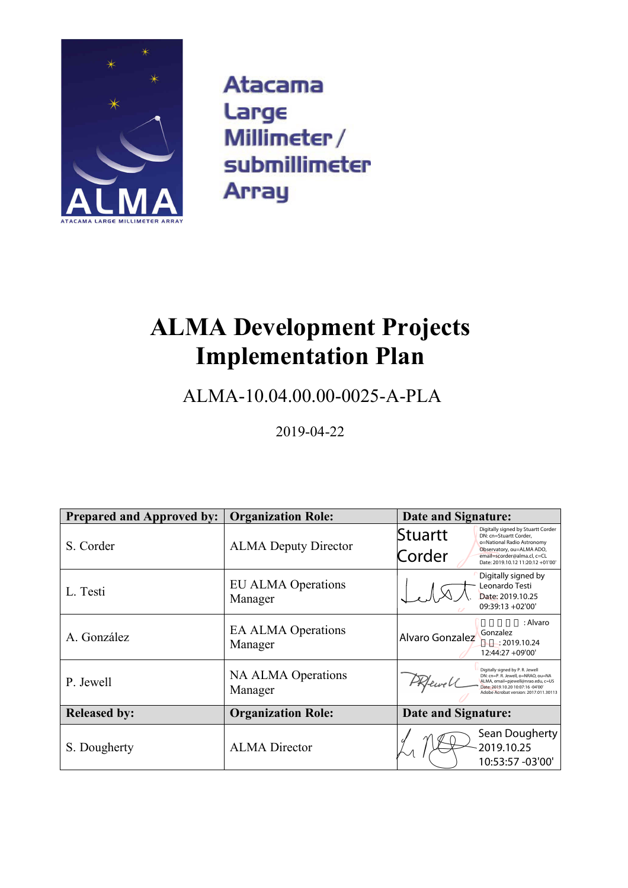

**Atacama** Large Millimeter/ submillimeter **Array** 

# **ALMA Development Projects Implementation Plan**

# ALMA-10.04.00.00-0025-A-PLA

2019-04-22

| <b>Prepared and Approved by:</b> | <b>Organization Role:</b>            | Date and Signature:                                                                                                                                                                                              |  |  |
|----------------------------------|--------------------------------------|------------------------------------------------------------------------------------------------------------------------------------------------------------------------------------------------------------------|--|--|
| S. Corder                        | <b>ALMA Deputy Director</b>          | Digitally signed by Stuartt Corder<br>Stuartt<br>DN: cn=Stuartt Corder,<br>o=National Radio Astronomy<br>Observatory, ou=ALMA ADO,<br>Corder<br>email=scorder@alma.cl, c=CL<br>Date: 2019.10.12 11:20:12 +01'00' |  |  |
| L. Testi                         | <b>EU ALMA Operations</b><br>Manager | Digitally signed by<br>Leonardo Testi<br>Date: 2019.10.25<br>$09:39:13 + 02'00'$                                                                                                                                 |  |  |
| A. González                      | <b>EA ALMA Operations</b><br>Manager | : Alvaro<br>Gonzalez<br>Alvaro Gonzalez<br>: 2019.10.24<br>12:44:27 +09'00'                                                                                                                                      |  |  |
| P. Jewell                        | <b>NA ALMA Operations</b><br>Manager | Digitally signed by P. R. Jewell<br>DN: cn=P. R. Jewell, o=NRAO, ou=NA<br>PRfewell<br>ALMA, email=pjewell@nrao.edu, c=US<br>Date: 2019.10.20 10:07:16 -04'00'<br>Adobe Acrobat version: 2017.011.30113           |  |  |
| <b>Released by:</b>              | <b>Organization Role:</b>            | Date and Signature:                                                                                                                                                                                              |  |  |
| S. Dougherty                     | <b>ALMA</b> Director                 | Sean Dougherty<br>2019.10.25<br>10:53:57 -03'00'                                                                                                                                                                 |  |  |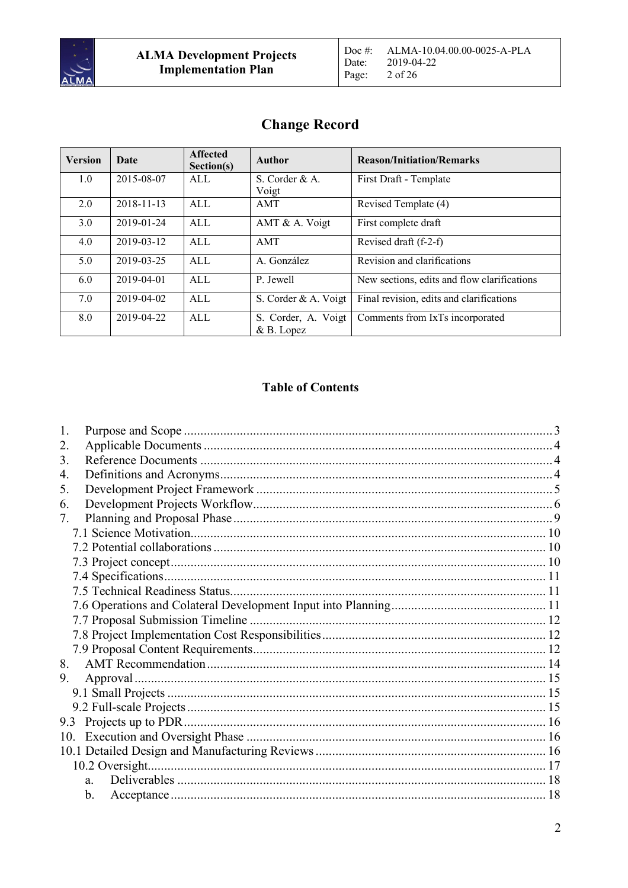

| <b>Version</b> | Date       | <b>Affected</b><br>Section(s) | <b>Author</b>                    | <b>Reason/Initiation/Remarks</b>            |
|----------------|------------|-------------------------------|----------------------------------|---------------------------------------------|
| 1.0            | 2015-08-07 | ALL                           | S. Corder $&A$ .                 | First Draft - Template                      |
|                |            |                               | Voigt                            |                                             |
| 2.0            | 2018-11-13 | ALL                           | <b>AMT</b>                       | Revised Template (4)                        |
| 3.0            | 2019-01-24 | ALL                           | AMT & A. Voigt                   | First complete draft                        |
| 4.0            | 2019-03-12 | ALL                           | AMT                              | Revised draft (f-2-f)                       |
| 5.0            | 2019-03-25 | AI.                           | A. González                      | Revision and clarifications                 |
| 6.0            | 2019-04-01 | AI.                           | P. Jewell                        | New sections, edits and flow clarifications |
| 7.0            | 2019-04-02 | ALL                           | S. Corder & A. Voigt             | Final revision, edits and clarifications    |
| 8.0            | 2019-04-22 | ALL                           | S. Corder, A. Voigt<br>&B. Lopez | Comments from IxTs incorporated             |

# **Table of Contents**

| 1.                                        |  |
|-------------------------------------------|--|
| 2.                                        |  |
| 3.                                        |  |
| 4.                                        |  |
| 5.                                        |  |
| 6.                                        |  |
| $7_{\scriptscriptstyle{\ddot{\quad{\,}}}$ |  |
|                                           |  |
|                                           |  |
|                                           |  |
|                                           |  |
|                                           |  |
|                                           |  |
|                                           |  |
|                                           |  |
|                                           |  |
| 8.                                        |  |
| 9.                                        |  |
|                                           |  |
|                                           |  |
| 9.3                                       |  |
| 10.                                       |  |
|                                           |  |
|                                           |  |
| a.                                        |  |
| b.                                        |  |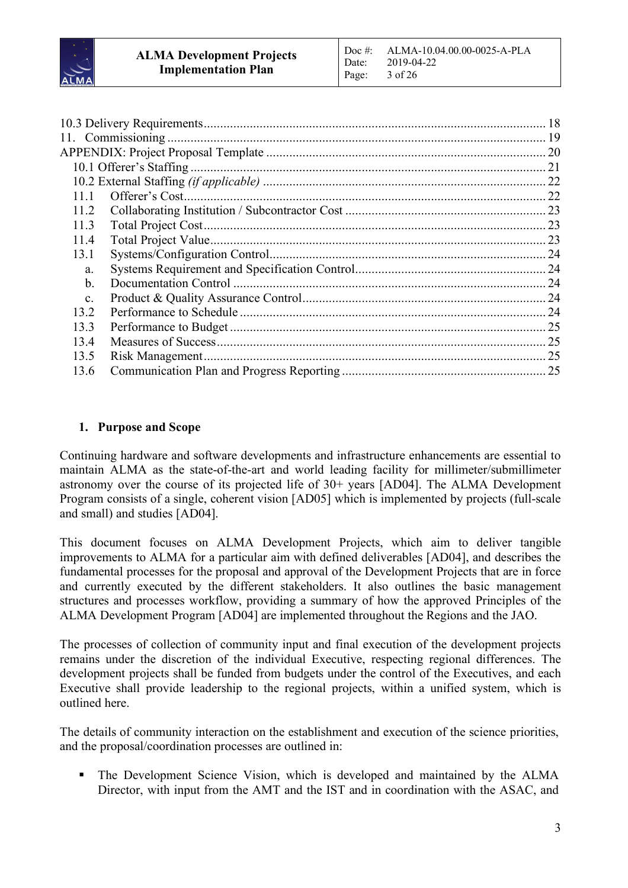

|                |                 | 18  |
|----------------|-----------------|-----|
|                |                 |     |
|                |                 | .20 |
|                |                 | 21  |
|                |                 |     |
| 11 1           |                 |     |
| 11.2           |                 |     |
| 11.3           |                 |     |
| 11.4           |                 |     |
| 13.1           |                 |     |
| a.             |                 |     |
| b.             |                 |     |
| $\mathbf{C}$ . |                 | 24  |
| 13.2           |                 | .24 |
| 13.3           |                 | 25  |
| 134            |                 | 25  |
| 13.5           | Risk Management | 25  |
| 13.6           |                 | 25  |
|                |                 |     |

# **1. Purpose and Scope**

Continuing hardware and software developments and infrastructure enhancements are essential to maintain ALMA as the state-of-the-art and world leading facility for millimeter/submillimeter astronomy over the course of its projected life of 30+ years [AD04]. The ALMA Development Program consists of a single, coherent vision [AD05] which is implemented by projects (full-scale and small) and studies [AD04].

This document focuses on ALMA Development Projects, which aim to deliver tangible improvements to ALMA for a particular aim with defined deliverables [AD04], and describes the fundamental processes for the proposal and approval of the Development Projects that are in force and currently executed by the different stakeholders. It also outlines the basic management structures and processes workflow, providing a summary of how the approved Principles of the ALMA Development Program [AD04] are implemented throughout the Regions and the JAO.

The processes of collection of community input and final execution of the development projects remains under the discretion of the individual Executive, respecting regional differences. The development projects shall be funded from budgets under the control of the Executives, and each Executive shall provide leadership to the regional projects, within a unified system, which is outlined here.

The details of community interaction on the establishment and execution of the science priorities, and the proposal/coordination processes are outlined in:

• The Development Science Vision, which is developed and maintained by the ALMA Director, with input from the AMT and the IST and in coordination with the ASAC, and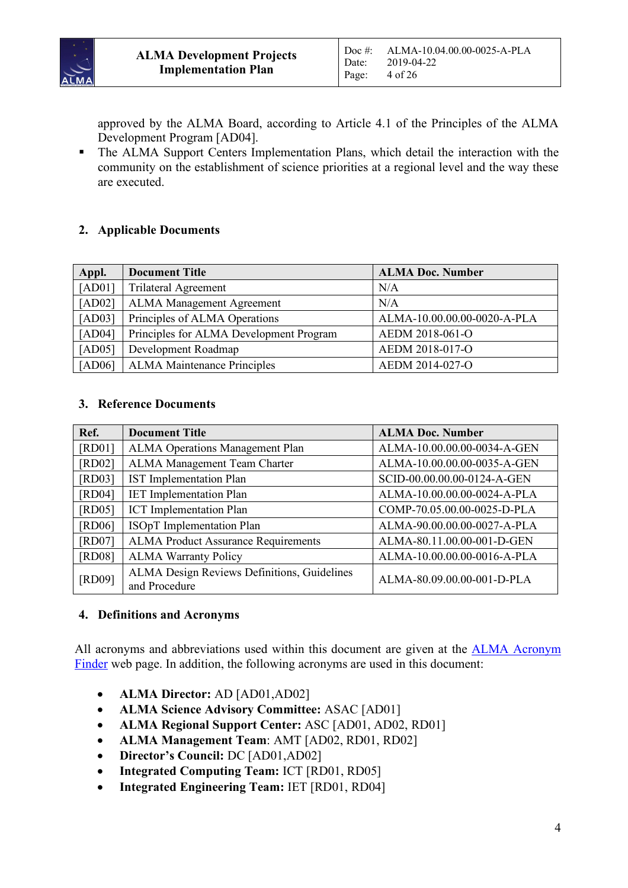

approved by the ALMA Board, according to Article 4.1 of the Principles of the ALMA Development Program [AD04].

• The ALMA Support Centers Implementation Plans, which detail the interaction with the community on the establishment of science priorities at a regional level and the way these are executed.

# **2. Applicable Documents**

| Appl.  | <b>Document Title</b>                   | <b>ALMA Doc. Number</b>     |
|--------|-----------------------------------------|-----------------------------|
| [AD01] | <b>Trilateral Agreement</b>             | N/A                         |
| [AD02] | <b>ALMA Management Agreement</b>        | N/A                         |
| [AD03] | Principles of ALMA Operations           | ALMA-10.00.00.00-0020-A-PLA |
| [AD04] | Principles for ALMA Development Program | AEDM 2018-061-O             |
| [AD05] | Development Roadmap                     | AEDM 2018-017-O             |
| [AD06] | <b>ALMA</b> Maintenance Principles      | AEDM 2014-027-O             |

#### **3. Reference Documents**

| Ref.   | <b>Document Title</b>                                        | <b>ALMA Doc. Number</b>     |
|--------|--------------------------------------------------------------|-----------------------------|
| [RD01] | <b>ALMA Operations Management Plan</b>                       | ALMA-10.00.00.00-0034-A-GEN |
| [RD02] | ALMA Management Team Charter                                 | ALMA-10.00.00.00-0035-A-GEN |
| [RD03] | <b>IST</b> Implementation Plan                               | SCID-00.00.00.00-0124-A-GEN |
| [RD04] | <b>IET</b> Implementation Plan                               | ALMA-10.00.00.00-0024-A-PLA |
| [RD05] | <b>ICT</b> Implementation Plan                               | COMP-70.05.00.00-0025-D-PLA |
| [RD06] | <b>ISOpT</b> Implementation Plan                             | ALMA-90.00.00.00-0027-A-PLA |
| [RD07] | <b>ALMA Product Assurance Requirements</b>                   | ALMA-80.11.00.00-001-D-GEN  |
| [RD08] | <b>ALMA Warranty Policy</b>                                  | ALMA-10.00.00.00-0016-A-PLA |
| [RD09] | ALMA Design Reviews Definitions, Guidelines<br>and Procedure | ALMA-80.09.00.00-001-D-PLA  |

#### **4. Definitions and Acronyms**

All acronyms and abbreviations used within this document are given at the ALMA Acronym Finder web page. In addition, the following acronyms are used in this document:

- **ALMA Director:** AD [AD01,AD02]
- **ALMA Science Advisory Committee:** ASAC [AD01]
- **ALMA Regional Support Center:** ASC [AD01, AD02, RD01]
- **ALMA Management Team**: AMT [AD02, RD01, RD02]
- **Director's Council:** DC [AD01,AD02]
- **Integrated Computing Team:** ICT [RD01, RD05]
- **Integrated Engineering Team:** IET [RD01, RD04]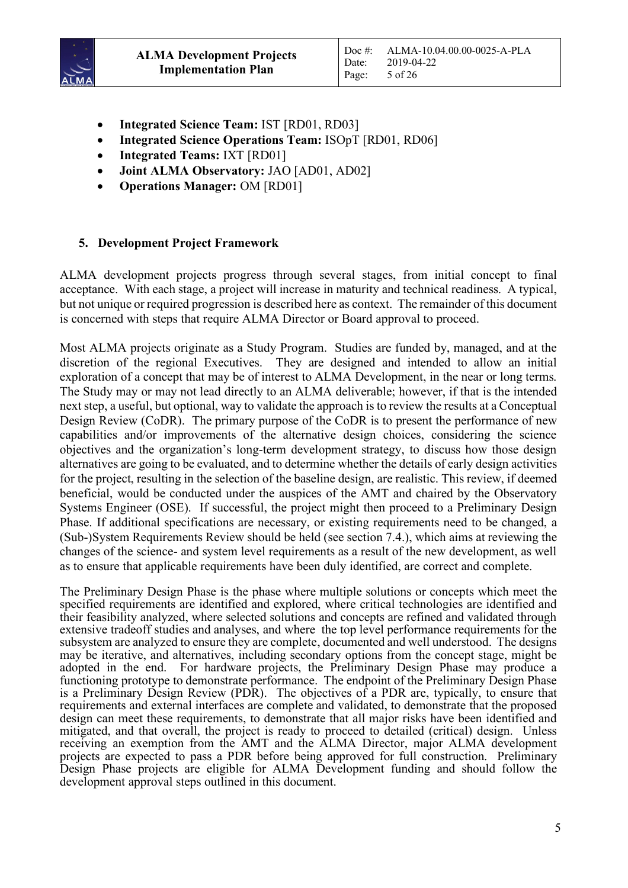

- **Integrated Science Team:** IST [RD01, RD03]
- **Integrated Science Operations Team:** ISOpT [RD01, RD06]
- **Integrated Teams:** IXT [RD01]
- **Joint ALMA Observatory:** JAO [AD01, AD02]
- **Operations Manager:** OM [RD01]

#### **5. Development Project Framework**

ALMA development projects progress through several stages, from initial concept to final acceptance. With each stage, a project will increase in maturity and technical readiness. A typical, but not unique or required progression is described here as context. The remainder of this document is concerned with steps that require ALMA Director or Board approval to proceed.

Most ALMA projects originate as a Study Program. Studies are funded by, managed, and at the discretion of the regional Executives. They are designed and intended to allow an initial exploration of a concept that may be of interest to ALMA Development, in the near or long terms. The Study may or may not lead directly to an ALMA deliverable; however, if that is the intended next step, a useful, but optional, way to validate the approach is to review the results at a Conceptual Design Review (CoDR). The primary purpose of the CoDR is to present the performance of new capabilities and/or improvements of the alternative design choices, considering the science objectives and the organization's long-term development strategy, to discuss how those design alternatives are going to be evaluated, and to determine whether the details of early design activities for the project, resulting in the selection of the baseline design, are realistic. This review, if deemed beneficial, would be conducted under the auspices of the AMT and chaired by the Observatory Systems Engineer (OSE). If successful, the project might then proceed to a Preliminary Design Phase. If additional specifications are necessary, or existing requirements need to be changed, a (Sub-)System Requirements Review should be held (see section 7.4.), which aims at reviewing the changes of the science- and system level requirements as a result of the new development, as well as to ensure that applicable requirements have been duly identified, are correct and complete.

The Preliminary Design Phase is the phase where multiple solutions or concepts which meet the specified requirements are identified and explored, where critical technologies are identified and their feasibility analyzed, where selected solutions and concepts are refined and validated through extensive tradeoff studies and analyses, and where the top level performance requirements for the subsystem are analyzed to ensure they are complete, documented and well understood. The designs may be iterative, and alternatives, including secondary options from the concept stage, might be adopted in the end. For hardware projects, the Preliminary Design Phase may produce a functioning prototype to demonstrate performance. The endpoint of the Preliminary Design Phase is a Preliminary Design Review (PDR). The objectives of a PDR are, typically, to ensure that requirements and external interfaces are complete and validated, to demonstrate that the proposed design can meet these requirements, to demonstrate that all major risks have been identified and mitigated, and that overall, the project is ready to proceed to detailed (critical) design. Unless receiving an exemption from the AMT and the ALMA Director, major ALMA development projects are expected to pass a PDR before being approved for full construction. Preliminary Design Phase projects are eligible for ALMA Development funding and should follow the development approval steps outlined in this document.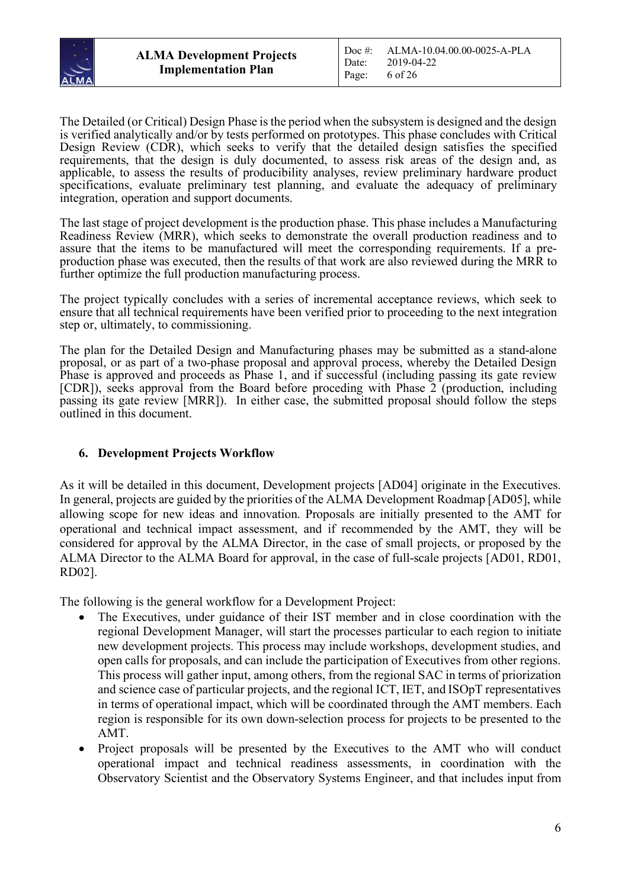

The Detailed (or Critical) Design Phase is the period when the subsystem is designed and the design is verified analytically and/or by tests performed on prototypes. This phase concludes with Critical Design Review (CDR), which seeks to verify that the detailed design satisfies the specified requirements, that the design is duly documented, to assess risk areas of the design and, as applicable, to assess the results of producibility analyses, review preliminary hardware product specifications, evaluate preliminary test planning, and evaluate the adequacy of preliminary integration, operation and support documents.

The last stage of project development is the production phase. This phase includes a Manufacturing Readiness Review (MRR), which seeks to demonstrate the overall production readiness and to assure that the items to be manufactured will meet the corresponding requirements. If a preproduction phase was executed, then the results of that work are also reviewed during the MRR to further optimize the full production manufacturing process.

The project typically concludes with a series of incremental acceptance reviews, which seek to ensure that all technical requirements have been verified prior to proceeding to the next integration step or, ultimately, to commissioning.

The plan for the Detailed Design and Manufacturing phases may be submitted as a stand-alone proposal, or as part of a two-phase proposal and approval process, whereby the Detailed Design Phase is approved and proceeds as Phase 1, and if successful (including passing its gate review [CDR]), seeks approval from the Board before proceding with Phase 2 (production, including passing its gate review [MRR]). In either case, the submitted proposal should follow the steps outlined in this document.

#### **6. Development Projects Workflow**

As it will be detailed in this document, Development projects [AD04] originate in the Executives. In general, projects are guided by the priorities of the ALMA Development Roadmap [AD05], while allowing scope for new ideas and innovation. Proposals are initially presented to the AMT for operational and technical impact assessment, and if recommended by the AMT, they will be considered for approval by the ALMA Director, in the case of small projects, or proposed by the ALMA Director to the ALMA Board for approval, in the case of full-scale projects [AD01, RD01, RD02].

The following is the general workflow for a Development Project:

- The Executives, under guidance of their IST member and in close coordination with the regional Development Manager, will start the processes particular to each region to initiate new development projects. This process may include workshops, development studies, and open calls for proposals, and can include the participation of Executives from other regions. This process will gather input, among others, from the regional SAC in terms of priorization and science case of particular projects, and the regional ICT, IET, and ISOpT representatives in terms of operational impact, which will be coordinated through the AMT members. Each region is responsible for its own down-selection process for projects to be presented to the AMT.
- Project proposals will be presented by the Executives to the AMT who will conduct operational impact and technical readiness assessments, in coordination with the Observatory Scientist and the Observatory Systems Engineer, and that includes input from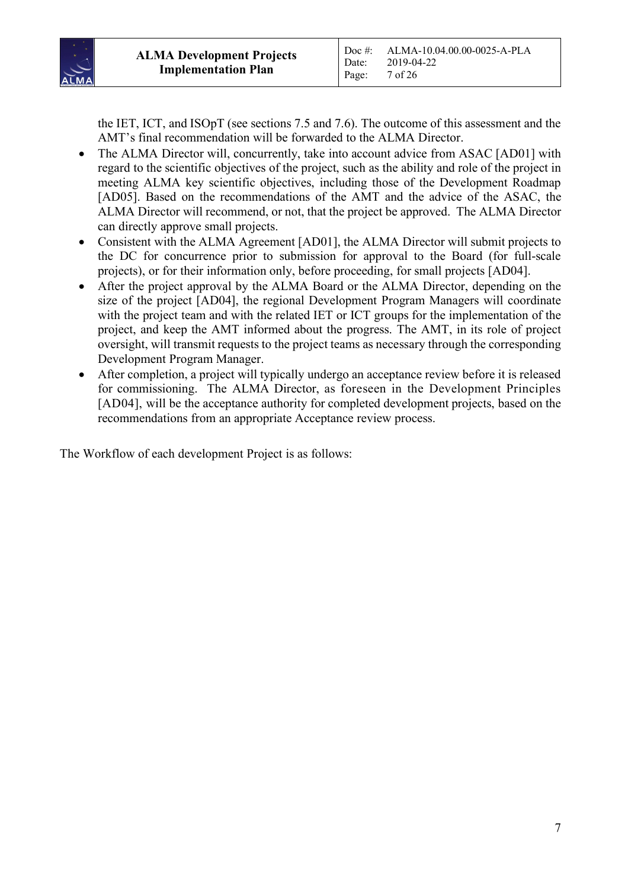

the IET, ICT, and ISOpT (see sections 7.5 and 7.6). The outcome of this assessment and the AMT's final recommendation will be forwarded to the ALMA Director.

- The ALMA Director will, concurrently, take into account advice from ASAC [AD01] with regard to the scientific objectives of the project, such as the ability and role of the project in meeting ALMA key scientific objectives, including those of the Development Roadmap [AD05]. Based on the recommendations of the AMT and the advice of the ASAC, the ALMA Director will recommend, or not, that the project be approved. The ALMA Director can directly approve small projects.
- Consistent with the ALMA Agreement [AD01], the ALMA Director will submit projects to the DC for concurrence prior to submission for approval to the Board (for full-scale projects), or for their information only, before proceeding, for small projects [AD04].
- After the project approval by the ALMA Board or the ALMA Director, depending on the size of the project [AD04], the regional Development Program Managers will coordinate with the project team and with the related IET or ICT groups for the implementation of the project, and keep the AMT informed about the progress. The AMT, in its role of project oversight, will transmit requests to the project teams as necessary through the corresponding Development Program Manager.
- After completion, a project will typically undergo an acceptance review before it is released for commissioning. The ALMA Director, as foreseen in the Development Principles [AD04], will be the acceptance authority for completed development projects, based on the recommendations from an appropriate Acceptance review process.

The Workflow of each development Project is as follows: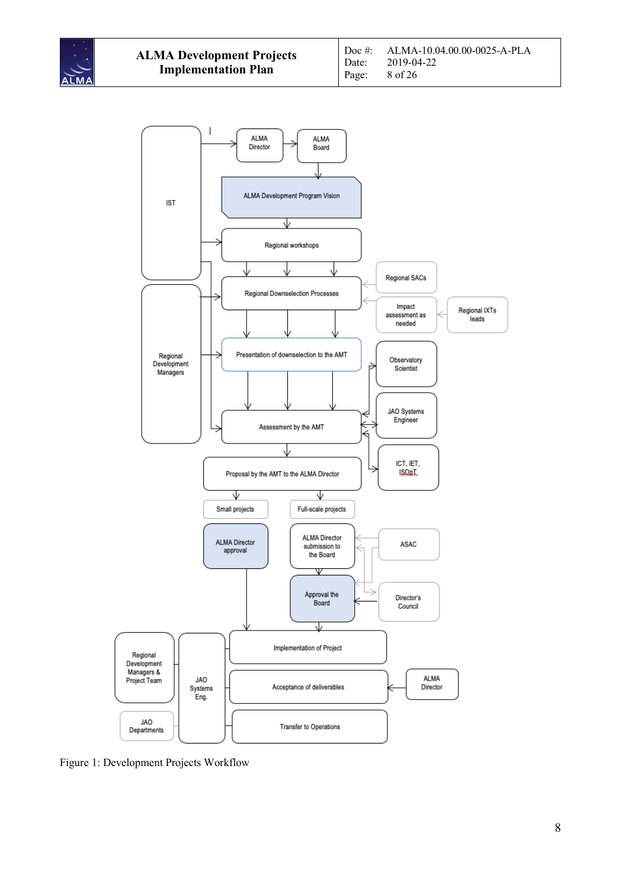



Figure 1: Development Projects Workflow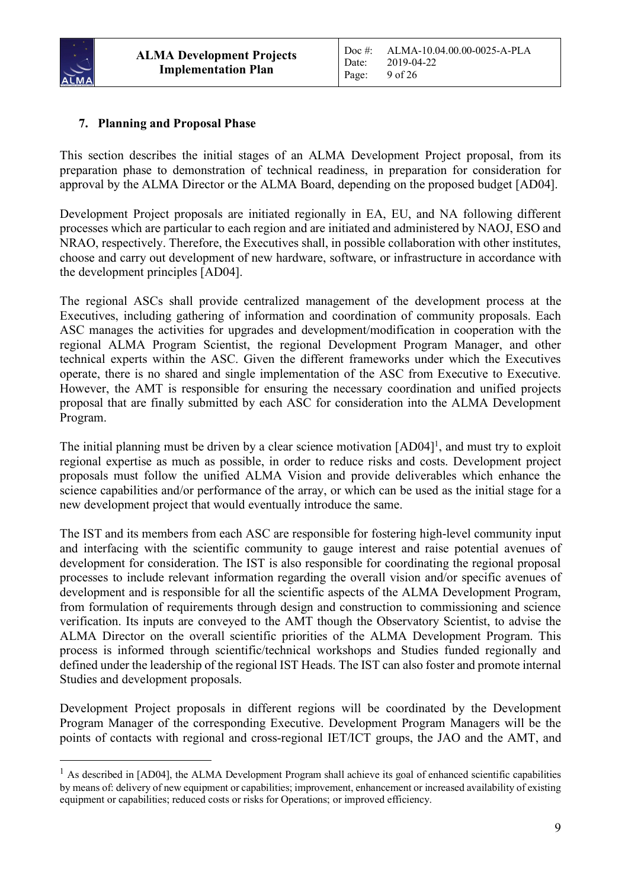

# **7. Planning and Proposal Phase**

This section describes the initial stages of an ALMA Development Project proposal, from its preparation phase to demonstration of technical readiness, in preparation for consideration for approval by the ALMA Director or the ALMA Board, depending on the proposed budget [AD04].

Development Project proposals are initiated regionally in EA, EU, and NA following different processes which are particular to each region and are initiated and administered by NAOJ, ESO and NRAO, respectively. Therefore, the Executives shall, in possible collaboration with other institutes, choose and carry out development of new hardware, software, or infrastructure in accordance with the development principles [AD04].

The regional ASCs shall provide centralized management of the development process at the Executives, including gathering of information and coordination of community proposals. Each ASC manages the activities for upgrades and development/modification in cooperation with the regional ALMA Program Scientist, the regional Development Program Manager, and other technical experts within the ASC. Given the different frameworks under which the Executives operate, there is no shared and single implementation of the ASC from Executive to Executive. However, the AMT is responsible for ensuring the necessary coordination and unified projects proposal that are finally submitted by each ASC for consideration into the ALMA Development Program.

The initial planning must be driven by a clear science motivation [AD04]<sup>1</sup>, and must try to exploit regional expertise as much as possible, in order to reduce risks and costs. Development project proposals must follow the unified ALMA Vision and provide deliverables which enhance the science capabilities and/or performance of the array, or which can be used as the initial stage for a new development project that would eventually introduce the same.

The IST and its members from each ASC are responsible for fostering high-level community input and interfacing with the scientific community to gauge interest and raise potential avenues of development for consideration. The IST is also responsible for coordinating the regional proposal processes to include relevant information regarding the overall vision and/or specific avenues of development and is responsible for all the scientific aspects of the ALMA Development Program, from formulation of requirements through design and construction to commissioning and science verification. Its inputs are conveyed to the AMT though the Observatory Scientist, to advise the ALMA Director on the overall scientific priorities of the ALMA Development Program. This process is informed through scientific/technical workshops and Studies funded regionally and defined under the leadership of the regional IST Heads. The IST can also foster and promote internal Studies and development proposals.

Development Project proposals in different regions will be coordinated by the Development Program Manager of the corresponding Executive. Development Program Managers will be the points of contacts with regional and cross-regional IET/ICT groups, the JAO and the AMT, and

<sup>&</sup>lt;sup>1</sup> As described in [AD04], the ALMA Development Program shall achieve its goal of enhanced scientific capabilities by means of: delivery of new equipment or capabilities; improvement, enhancement or increased availability of existing equipment or capabilities; reduced costs or risks for Operations; or improved efficiency.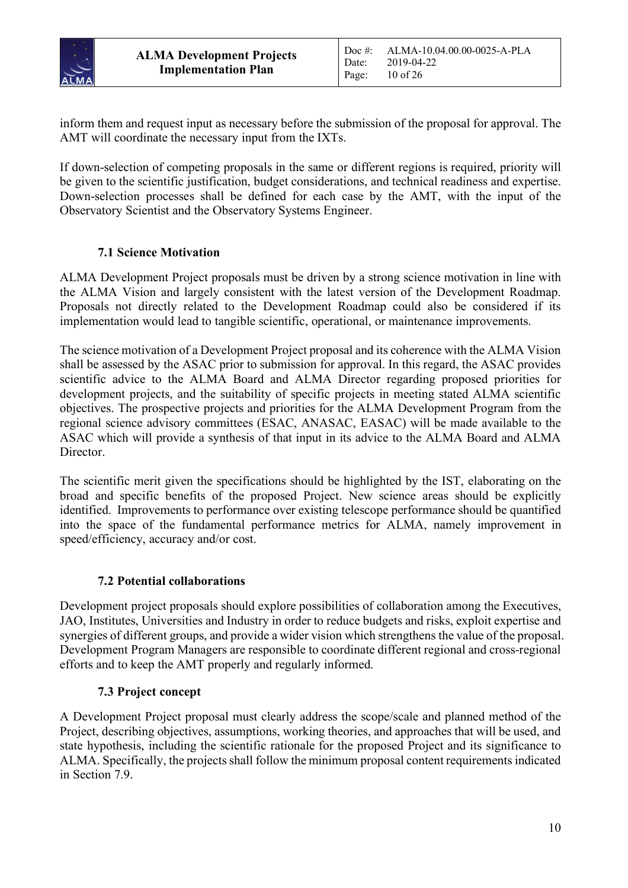

inform them and request input as necessary before the submission of the proposal for approval. The AMT will coordinate the necessary input from the IXTs.

If down-selection of competing proposals in the same or different regions is required, priority will be given to the scientific justification, budget considerations, and technical readiness and expertise. Down-selection processes shall be defined for each case by the AMT, with the input of the Observatory Scientist and the Observatory Systems Engineer.

# **7.1 Science Motivation**

ALMA Development Project proposals must be driven by a strong science motivation in line with the ALMA Vision and largely consistent with the latest version of the Development Roadmap. Proposals not directly related to the Development Roadmap could also be considered if its implementation would lead to tangible scientific, operational, or maintenance improvements.

The science motivation of a Development Project proposal and its coherence with the ALMA Vision shall be assessed by the ASAC prior to submission for approval. In this regard, the ASAC provides scientific advice to the ALMA Board and ALMA Director regarding proposed priorities for development projects, and the suitability of specific projects in meeting stated ALMA scientific objectives. The prospective projects and priorities for the ALMA Development Program from the regional science advisory committees (ESAC, ANASAC, EASAC) will be made available to the ASAC which will provide a synthesis of that input in its advice to the ALMA Board and ALMA Director.

The scientific merit given the specifications should be highlighted by the IST, elaborating on the broad and specific benefits of the proposed Project. New science areas should be explicitly identified. Improvements to performance over existing telescope performance should be quantified into the space of the fundamental performance metrics for ALMA, namely improvement in speed/efficiency, accuracy and/or cost.

# **7.2 Potential collaborations**

Development project proposals should explore possibilities of collaboration among the Executives, JAO, Institutes, Universities and Industry in order to reduce budgets and risks, exploit expertise and synergies of different groups, and provide a wider vision which strengthens the value of the proposal. Development Program Managers are responsible to coordinate different regional and cross-regional efforts and to keep the AMT properly and regularly informed.

# **7.3 Project concept**

A Development Project proposal must clearly address the scope/scale and planned method of the Project, describing objectives, assumptions, working theories, and approaches that will be used, and state hypothesis, including the scientific rationale for the proposed Project and its significance to ALMA. Specifically, the projects shall follow the minimum proposal content requirementsindicated in Section 7.9.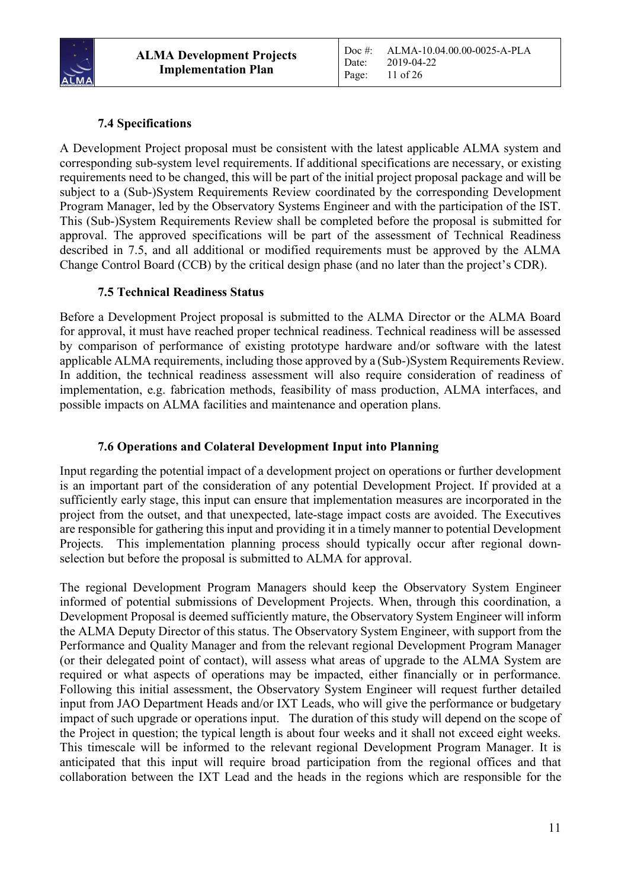

# **7.4 Specifications**

A Development Project proposal must be consistent with the latest applicable ALMA system and corresponding sub-system level requirements. If additional specifications are necessary, or existing requirements need to be changed, this will be part of the initial project proposal package and will be subject to a (Sub-)System Requirements Review coordinated by the corresponding Development Program Manager, led by the Observatory Systems Engineer and with the participation of the IST. This (Sub-)System Requirements Review shall be completed before the proposal is submitted for approval. The approved specifications will be part of the assessment of Technical Readiness described in 7.5, and all additional or modified requirements must be approved by the ALMA Change Control Board (CCB) by the critical design phase (and no later than the project's CDR).

# **7.5 Technical Readiness Status**

Before a Development Project proposal is submitted to the ALMA Director or the ALMA Board for approval, it must have reached proper technical readiness. Technical readiness will be assessed by comparison of performance of existing prototype hardware and/or software with the latest applicable ALMA requirements, including those approved by a (Sub-)System Requirements Review. In addition, the technical readiness assessment will also require consideration of readiness of implementation, e.g. fabrication methods, feasibility of mass production, ALMA interfaces, and possible impacts on ALMA facilities and maintenance and operation plans.

# **7.6 Operations and Colateral Development Input into Planning**

Input regarding the potential impact of a development project on operations or further development is an important part of the consideration of any potential Development Project. If provided at a sufficiently early stage, this input can ensure that implementation measures are incorporated in the project from the outset, and that unexpected, late-stage impact costs are avoided. The Executives are responsible for gathering this input and providing it in a timely manner to potential Development Projects. This implementation planning process should typically occur after regional downselection but before the proposal is submitted to ALMA for approval.

The regional Development Program Managers should keep the Observatory System Engineer informed of potential submissions of Development Projects. When, through this coordination, a Development Proposal is deemed sufficiently mature, the Observatory System Engineer will inform the ALMA Deputy Director of this status. The Observatory System Engineer, with support from the Performance and Quality Manager and from the relevant regional Development Program Manager (or their delegated point of contact), will assess what areas of upgrade to the ALMA System are required or what aspects of operations may be impacted, either financially or in performance. Following this initial assessment, the Observatory System Engineer will request further detailed input from JAO Department Heads and/or IXT Leads, who will give the performance or budgetary impact of such upgrade or operations input. The duration of this study will depend on the scope of the Project in question; the typical length is about four weeks and it shall not exceed eight weeks. This timescale will be informed to the relevant regional Development Program Manager. It is anticipated that this input will require broad participation from the regional offices and that collaboration between the IXT Lead and the heads in the regions which are responsible for the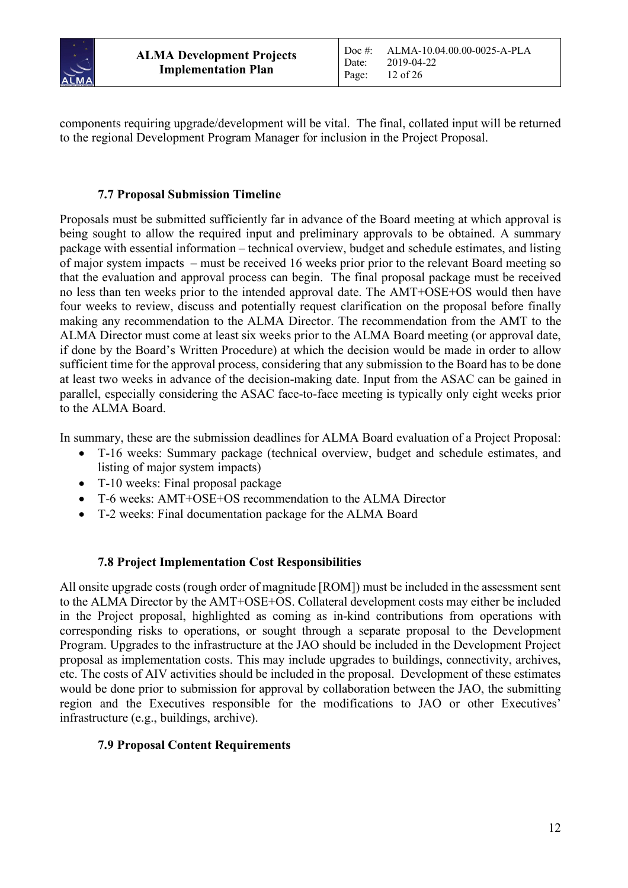

components requiring upgrade/development will be vital. The final, collated input will be returned to the regional Development Program Manager for inclusion in the Project Proposal.

#### **7.7 Proposal Submission Timeline**

Proposals must be submitted sufficiently far in advance of the Board meeting at which approval is being sought to allow the required input and preliminary approvals to be obtained. A summary package with essential information – technical overview, budget and schedule estimates, and listing of major system impacts – must be received 16 weeks prior prior to the relevant Board meeting so that the evaluation and approval process can begin. The final proposal package must be received no less than ten weeks prior to the intended approval date. The AMT+OSE+OS would then have four weeks to review, discuss and potentially request clarification on the proposal before finally making any recommendation to the ALMA Director. The recommendation from the AMT to the ALMA Director must come at least six weeks prior to the ALMA Board meeting (or approval date, if done by the Board's Written Procedure) at which the decision would be made in order to allow sufficient time for the approval process, considering that any submission to the Board has to be done at least two weeks in advance of the decision-making date. Input from the ASAC can be gained in parallel, especially considering the ASAC face-to-face meeting is typically only eight weeks prior to the ALMA Board.

In summary, these are the submission deadlines for ALMA Board evaluation of a Project Proposal:

- T-16 weeks: Summary package (technical overview, budget and schedule estimates, and listing of major system impacts)
- T-10 weeks: Final proposal package
- T-6 weeks: AMT+OSE+OS recommendation to the ALMA Director
- T-2 weeks: Final documentation package for the ALMA Board

#### **7.8 Project Implementation Cost Responsibilities**

All onsite upgrade costs (rough order of magnitude [ROM]) must be included in the assessment sent to the ALMA Director by the AMT+OSE+OS. Collateral development costs may either be included in the Project proposal, highlighted as coming as in-kind contributions from operations with corresponding risks to operations, or sought through a separate proposal to the Development Program. Upgrades to the infrastructure at the JAO should be included in the Development Project proposal as implementation costs. This may include upgrades to buildings, connectivity, archives, etc. The costs of AIV activities should be included in the proposal. Development of these estimates would be done prior to submission for approval by collaboration between the JAO, the submitting region and the Executives responsible for the modifications to JAO or other Executives' infrastructure (e.g., buildings, archive).

#### **7.9 Proposal Content Requirements**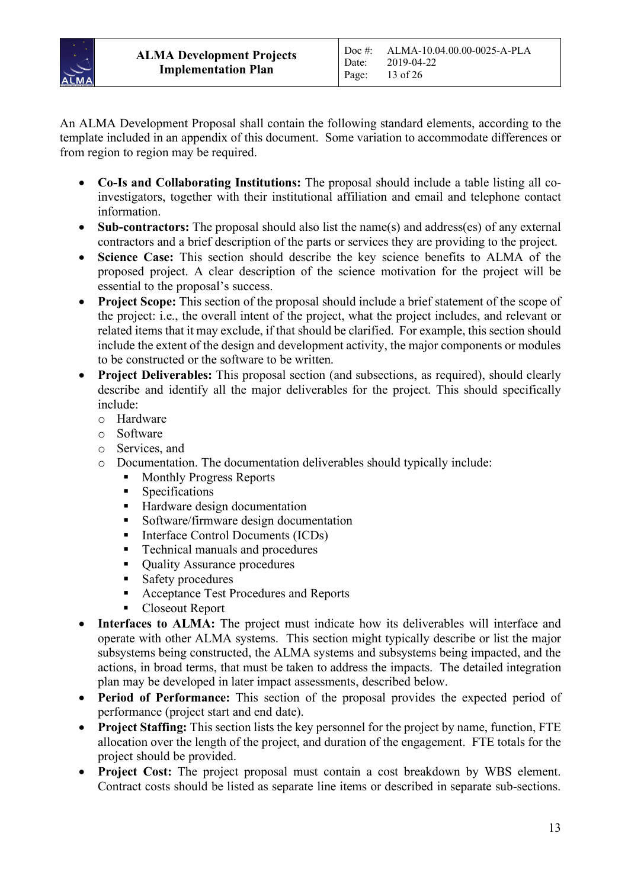

An ALMA Development Proposal shall contain the following standard elements, according to the template included in an appendix of this document. Some variation to accommodate differences or from region to region may be required.

- **Co-Is and Collaborating Institutions:** The proposal should include a table listing all coinvestigators, together with their institutional affiliation and email and telephone contact information.
- **Sub-contractors:** The proposal should also list the name(s) and address(es) of any external contractors and a brief description of the parts or services they are providing to the project.
- **Science Case:** This section should describe the key science benefits to ALMA of the proposed project. A clear description of the science motivation for the project will be essential to the proposal's success.
- **Project Scope:** This section of the proposal should include a brief statement of the scope of the project: i.e., the overall intent of the project, what the project includes, and relevant or related items that it may exclude, if that should be clarified. For example, this section should include the extent of the design and development activity, the major components or modules to be constructed or the software to be written.
- **Project Deliverables:** This proposal section (and subsections, as required), should clearly describe and identify all the major deliverables for the project. This should specifically include:
	- o Hardware
	- o Software
	- o Services, and
	- o Documentation. The documentation deliverables should typically include:
		- Monthly Progress Reports
		- § Specifications
		- Hardware design documentation
		- § Software/firmware design documentation
		- Interface Control Documents (ICDs)
		- Technical manuals and procedures
		- Ouality Assurance procedures
		- Safety procedures
		- Acceptance Test Procedures and Reports
		- § Closeout Report
- **Interfaces to ALMA:** The project must indicate how its deliverables will interface and operate with other ALMA systems. This section might typically describe or list the major subsystems being constructed, the ALMA systems and subsystems being impacted, and the actions, in broad terms, that must be taken to address the impacts. The detailed integration plan may be developed in later impact assessments, described below.
- **Period of Performance:** This section of the proposal provides the expected period of performance (project start and end date).
- **Project Staffing:** This section lists the key personnel for the project by name, function, FTE allocation over the length of the project, and duration of the engagement. FTE totals for the project should be provided.
- **Project Cost:** The project proposal must contain a cost breakdown by WBS element. Contract costs should be listed as separate line items or described in separate sub-sections.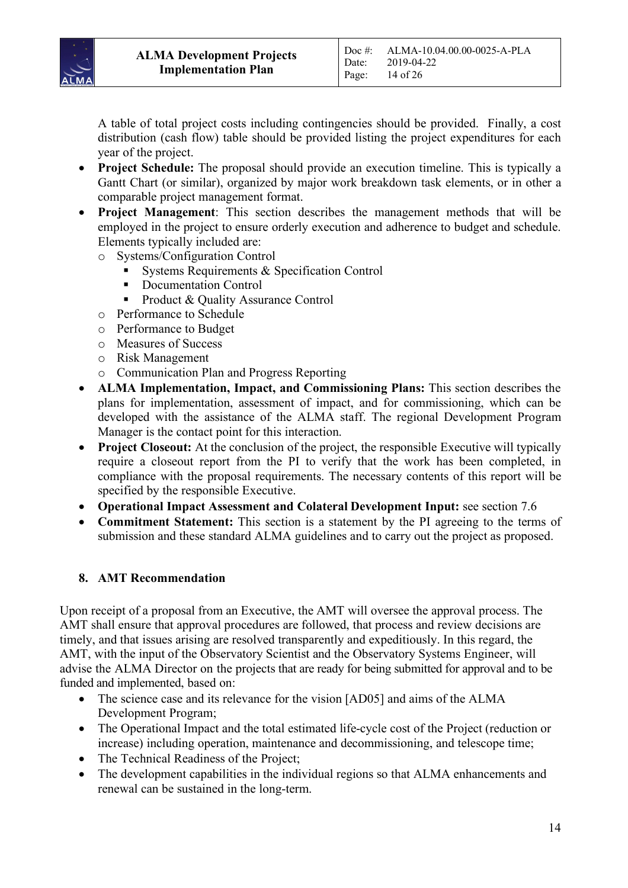

A table of total project costs including contingencies should be provided. Finally, a cost distribution (cash flow) table should be provided listing the project expenditures for each year of the project.

- **Project Schedule:** The proposal should provide an execution timeline. This is typically a Gantt Chart (or similar), organized by major work breakdown task elements, or in other a comparable project management format.
- **Project Management**: This section describes the management methods that will be employed in the project to ensure orderly execution and adherence to budget and schedule. Elements typically included are:
	- o Systems/Configuration Control
		- § Systems Requirements & Specification Control
		- Documentation Control
		- § Product & Quality Assurance Control
	- o Performance to Schedule
	- o Performance to Budget
	- o Measures of Success
	- o Risk Management
	- o Communication Plan and Progress Reporting
- **ALMA Implementation, Impact, and Commissioning Plans:** This section describes the plans for implementation, assessment of impact, and for commissioning, which can be developed with the assistance of the ALMA staff. The regional Development Program Manager is the contact point for this interaction.
- **Project Closeout:** At the conclusion of the project, the responsible Executive will typically require a closeout report from the PI to verify that the work has been completed, in compliance with the proposal requirements. The necessary contents of this report will be specified by the responsible Executive.
- **Operational Impact Assessment and Colateral Development Input:** see section 7.6
- **Commitment Statement:** This section is a statement by the PI agreeing to the terms of submission and these standard ALMA guidelines and to carry out the project as proposed.

#### **8. AMT Recommendation**

Upon receipt of a proposal from an Executive, the AMT will oversee the approval process. The AMT shall ensure that approval procedures are followed, that process and review decisions are timely, and that issues arising are resolved transparently and expeditiously. In this regard, the AMT, with the input of the Observatory Scientist and the Observatory Systems Engineer, will advise the ALMA Director on the projects that are ready for being submitted for approval and to be funded and implemented, based on:

- The science case and its relevance for the vision [AD05] and aims of the ALMA Development Program;
- The Operational Impact and the total estimated life-cycle cost of the Project (reduction or increase) including operation, maintenance and decommissioning, and telescope time;
- The Technical Readiness of the Project;
- The development capabilities in the individual regions so that ALMA enhancements and renewal can be sustained in the long-term.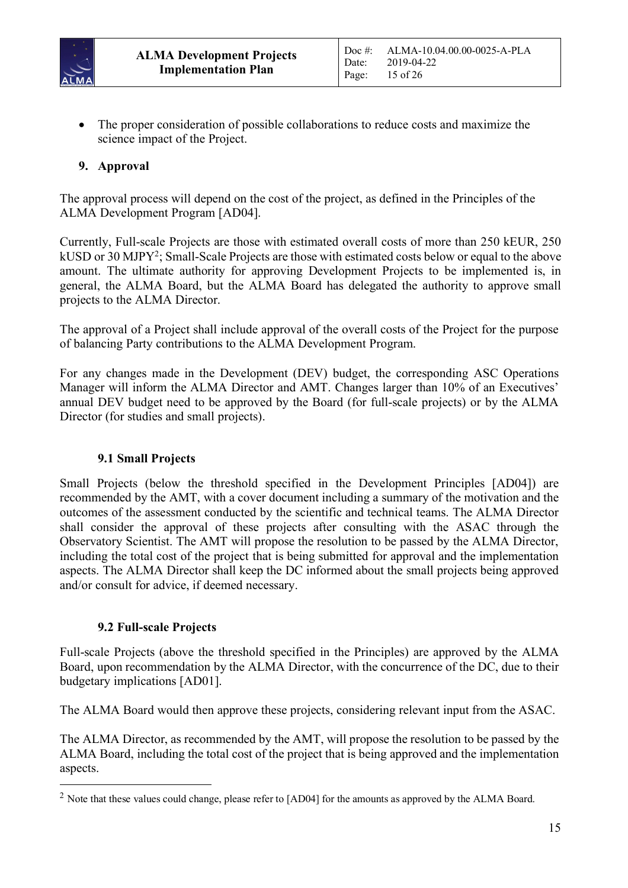

• The proper consideration of possible collaborations to reduce costs and maximize the science impact of the Project.

# **9. Approval**

The approval process will depend on the cost of the project, as defined in the Principles of the ALMA Development Program [AD04].

Currently, Full-scale Projects are those with estimated overall costs of more than 250 kEUR, 250 kUSD or 30 MJPY2 ; Small-Scale Projects are those with estimated costs below or equal to the above amount. The ultimate authority for approving Development Projects to be implemented is, in general, the ALMA Board, but the ALMA Board has delegated the authority to approve small projects to the ALMA Director.

The approval of a Project shall include approval of the overall costs of the Project for the purpose of balancing Party contributions to the ALMA Development Program.

For any changes made in the Development (DEV) budget, the corresponding ASC Operations Manager will inform the ALMA Director and AMT. Changes larger than 10% of an Executives' annual DEV budget need to be approved by the Board (for full-scale projects) or by the ALMA Director (for studies and small projects).

#### **9.1 Small Projects**

Small Projects (below the threshold specified in the Development Principles [AD04]) are recommended by the AMT, with a cover document including a summary of the motivation and the outcomes of the assessment conducted by the scientific and technical teams. The ALMA Director shall consider the approval of these projects after consulting with the ASAC through the Observatory Scientist. The AMT will propose the resolution to be passed by the ALMA Director, including the total cost of the project that is being submitted for approval and the implementation aspects. The ALMA Director shall keep the DC informed about the small projects being approved and/or consult for advice, if deemed necessary.

#### **9.2 Full-scale Projects**

Full-scale Projects (above the threshold specified in the Principles) are approved by the ALMA Board, upon recommendation by the ALMA Director, with the concurrence of the DC, due to their budgetary implications [AD01].

The ALMA Board would then approve these projects, considering relevant input from the ASAC.

The ALMA Director, as recommended by the AMT, will propose the resolution to be passed by the ALMA Board, including the total cost of the project that is being approved and the implementation aspects.

<sup>&</sup>lt;sup>2</sup> Note that these values could change, please refer to [AD04] for the amounts as approved by the ALMA Board.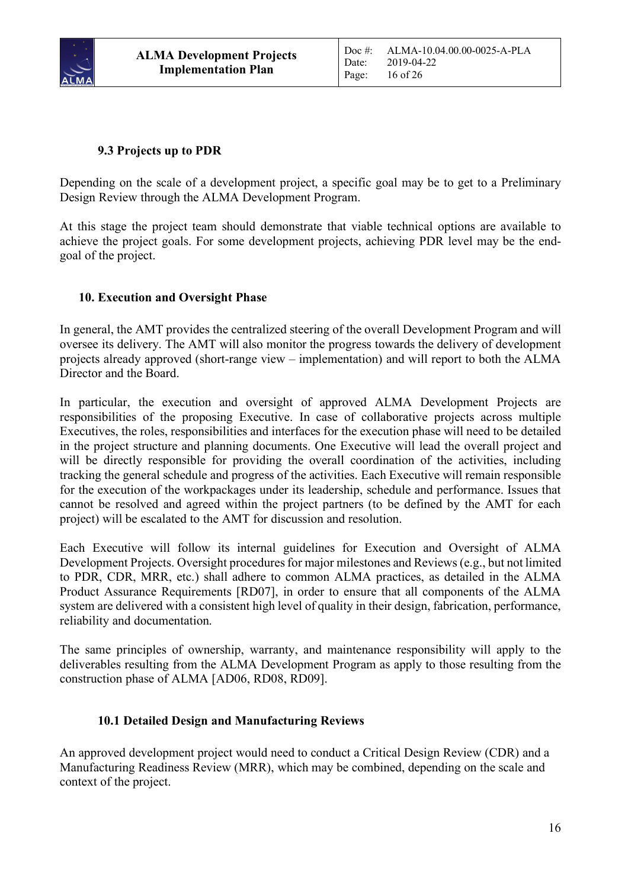

# **9.3 Projects up to PDR**

Depending on the scale of a development project, a specific goal may be to get to a Preliminary Design Review through the ALMA Development Program.

At this stage the project team should demonstrate that viable technical options are available to achieve the project goals. For some development projects, achieving PDR level may be the endgoal of the project.

#### **10. Execution and Oversight Phase**

In general, the AMT provides the centralized steering of the overall Development Program and will oversee its delivery. The AMT will also monitor the progress towards the delivery of development projects already approved (short-range view – implementation) and will report to both the ALMA Director and the Board.

In particular, the execution and oversight of approved ALMA Development Projects are responsibilities of the proposing Executive. In case of collaborative projects across multiple Executives, the roles, responsibilities and interfaces for the execution phase will need to be detailed in the project structure and planning documents. One Executive will lead the overall project and will be directly responsible for providing the overall coordination of the activities, including tracking the general schedule and progress of the activities. Each Executive will remain responsible for the execution of the workpackages under its leadership, schedule and performance. Issues that cannot be resolved and agreed within the project partners (to be defined by the AMT for each project) will be escalated to the AMT for discussion and resolution.

Each Executive will follow its internal guidelines for Execution and Oversight of ALMA Development Projects. Oversight procedures for major milestones and Reviews (e.g., but not limited to PDR, CDR, MRR, etc.) shall adhere to common ALMA practices, as detailed in the ALMA Product Assurance Requirements [RD07], in order to ensure that all components of the ALMA system are delivered with a consistent high level of quality in their design, fabrication, performance, reliability and documentation.

The same principles of ownership, warranty, and maintenance responsibility will apply to the deliverables resulting from the ALMA Development Program as apply to those resulting from the construction phase of ALMA [AD06, RD08, RD09].

#### **10.1 Detailed Design and Manufacturing Reviews**

An approved development project would need to conduct a Critical Design Review (CDR) and a Manufacturing Readiness Review (MRR), which may be combined, depending on the scale and context of the project.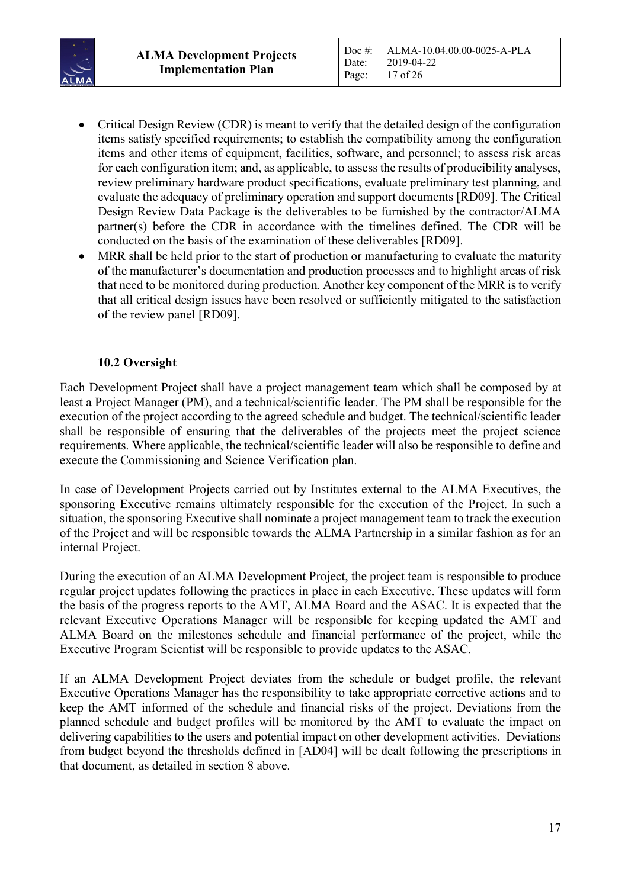

- Critical Design Review (CDR) is meant to verify that the detailed design of the configuration items satisfy specified requirements; to establish the compatibility among the configuration items and other items of equipment, facilities, software, and personnel; to assess risk areas for each configuration item; and, as applicable, to assess the results of producibility analyses, review preliminary hardware product specifications, evaluate preliminary test planning, and evaluate the adequacy of preliminary operation and support documents [RD09]. The Critical Design Review Data Package is the deliverables to be furnished by the contractor/ALMA partner(s) before the CDR in accordance with the timelines defined. The CDR will be conducted on the basis of the examination of these deliverables [RD09].
- MRR shall be held prior to the start of production or manufacturing to evaluate the maturity of the manufacturer's documentation and production processes and to highlight areas of risk that need to be monitored during production. Another key component of the MRR is to verify that all critical design issues have been resolved or sufficiently mitigated to the satisfaction of the review panel [RD09].

#### **10.2 Oversight**

Each Development Project shall have a project management team which shall be composed by at least a Project Manager (PM), and a technical/scientific leader. The PM shall be responsible for the execution of the project according to the agreed schedule and budget. The technical/scientific leader shall be responsible of ensuring that the deliverables of the projects meet the project science requirements. Where applicable, the technical/scientific leader will also be responsible to define and execute the Commissioning and Science Verification plan.

In case of Development Projects carried out by Institutes external to the ALMA Executives, the sponsoring Executive remains ultimately responsible for the execution of the Project. In such a situation, the sponsoring Executive shall nominate a project management team to track the execution of the Project and will be responsible towards the ALMA Partnership in a similar fashion as for an internal Project.

During the execution of an ALMA Development Project, the project team is responsible to produce regular project updates following the practices in place in each Executive. These updates will form the basis of the progress reports to the AMT, ALMA Board and the ASAC. It is expected that the relevant Executive Operations Manager will be responsible for keeping updated the AMT and ALMA Board on the milestones schedule and financial performance of the project, while the Executive Program Scientist will be responsible to provide updates to the ASAC.

If an ALMA Development Project deviates from the schedule or budget profile, the relevant Executive Operations Manager has the responsibility to take appropriate corrective actions and to keep the AMT informed of the schedule and financial risks of the project. Deviations from the planned schedule and budget profiles will be monitored by the AMT to evaluate the impact on delivering capabilities to the users and potential impact on other development activities. Deviations from budget beyond the thresholds defined in [AD04] will be dealt following the prescriptions in that document, as detailed in section 8 above.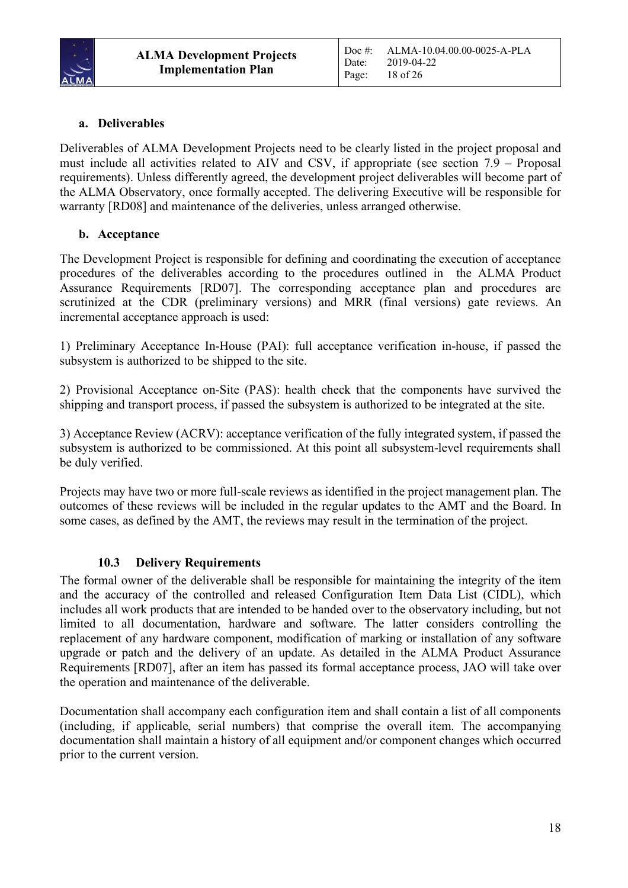

# **a. Deliverables**

Deliverables of ALMA Development Projects need to be clearly listed in the project proposal and must include all activities related to AIV and CSV, if appropriate (see section 7.9 – Proposal requirements). Unless differently agreed, the development project deliverables will become part of the ALMA Observatory, once formally accepted. The delivering Executive will be responsible for warranty [RD08] and maintenance of the deliveries, unless arranged otherwise.

#### **b. Acceptance**

The Development Project is responsible for defining and coordinating the execution of acceptance procedures of the deliverables according to the procedures outlined in the ALMA Product Assurance Requirements [RD07]. The corresponding acceptance plan and procedures are scrutinized at the CDR (preliminary versions) and MRR (final versions) gate reviews. An incremental acceptance approach is used:

1) Preliminary Acceptance In-House (PAI): full acceptance verification in-house, if passed the subsystem is authorized to be shipped to the site.

2) Provisional Acceptance on-Site (PAS): health check that the components have survived the shipping and transport process, if passed the subsystem is authorized to be integrated at the site.

3) Acceptance Review (ACRV): acceptance verification of the fully integrated system, if passed the subsystem is authorized to be commissioned. At this point all subsystem-level requirements shall be duly verified.

Projects may have two or more full-scale reviews as identified in the project management plan. The outcomes of these reviews will be included in the regular updates to the AMT and the Board. In some cases, as defined by the AMT, the reviews may result in the termination of the project.

#### **10.3 Delivery Requirements**

The formal owner of the deliverable shall be responsible for maintaining the integrity of the item and the accuracy of the controlled and released Configuration Item Data List (CIDL), which includes all work products that are intended to be handed over to the observatory including, but not limited to all documentation, hardware and software. The latter considers controlling the replacement of any hardware component, modification of marking or installation of any software upgrade or patch and the delivery of an update. As detailed in the ALMA Product Assurance Requirements [RD07], after an item has passed its formal acceptance process, JAO will take over the operation and maintenance of the deliverable.

Documentation shall accompany each configuration item and shall contain a list of all components (including, if applicable, serial numbers) that comprise the overall item. The accompanying documentation shall maintain a history of all equipment and/or component changes which occurred prior to the current version.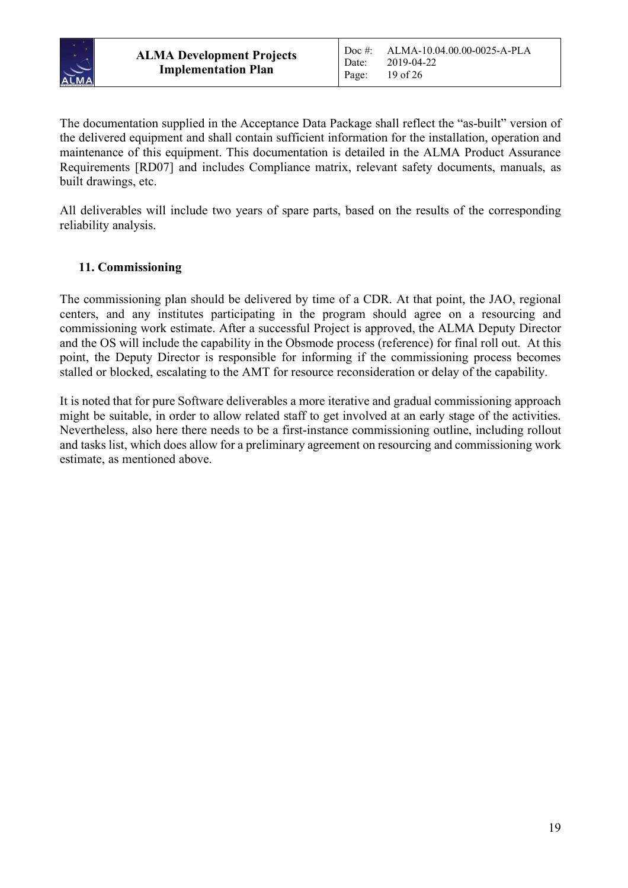

The documentation supplied in the Acceptance Data Package shall reflect the "as-built" version of the delivered equipment and shall contain sufficient information for the installation, operation and maintenance of this equipment. This documentation is detailed in the ALMA Product Assurance Requirements [RD07] and includes Compliance matrix, relevant safety documents, manuals, as built drawings, etc.

All deliverables will include two years of spare parts, based on the results of the corresponding reliability analysis.

# **11. Commissioning**

The commissioning plan should be delivered by time of a CDR. At that point, the JAO, regional centers, and any institutes participating in the program should agree on a resourcing and commissioning work estimate. After a successful Project is approved, the ALMA Deputy Director and the OS will include the capability in the Obsmode process (reference) for final roll out. At this point, the Deputy Director is responsible for informing if the commissioning process becomes stalled or blocked, escalating to the AMT for resource reconsideration or delay of the capability.

It is noted that for pure Software deliverables a more iterative and gradual commissioning approach might be suitable, in order to allow related staff to get involved at an early stage of the activities. Nevertheless, also here there needs to be a first-instance commissioning outline, including rollout and tasks list, which does allow for a preliminary agreement on resourcing and commissioning work estimate, as mentioned above.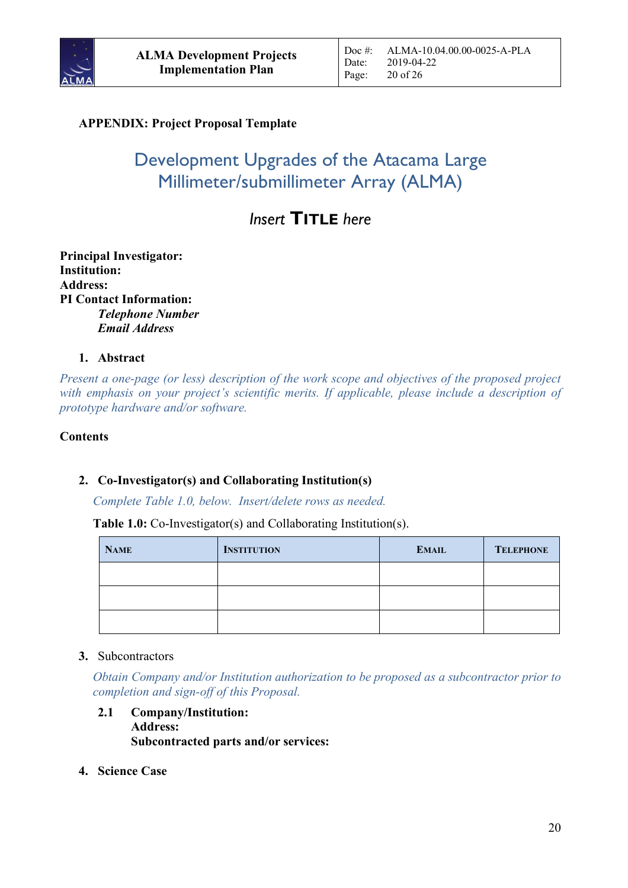

# **APPENDIX: Project Proposal Template**

# Development Upgrades of the Atacama Large Millimeter/submillimeter Array (ALMA)

# *Insert* **TITLE** *here*

**Principal Investigator: Institution: Address: PI Contact Information:** *Telephone Number Email Address*

#### **1. Abstract**

*Present a one-page (or less) description of the work scope and objectives of the proposed project with emphasis on your project's scientific merits. If applicable, please include a description of prototype hardware and/or software.*

#### **Contents**

#### **2. Co-Investigator(s) and Collaborating Institution(s)**

*Complete Table 1.0, below. Insert/delete rows as needed.*

**Table 1.0:** Co-Investigator(s) and Collaborating Institution(s).

| <b>NAME</b> | <b>INSTITUTION</b> | <b>EMAIL</b> | <b>TELEPHONE</b> |
|-------------|--------------------|--------------|------------------|
|             |                    |              |                  |
|             |                    |              |                  |
|             |                    |              |                  |

#### **3.** Subcontractors

*Obtain Company and/or Institution authorization to be proposed as a subcontractor prior to completion and sign-off of this Proposal.*

- **2.1 Company/Institution: Address: Subcontracted parts and/or services:**
- **4. Science Case**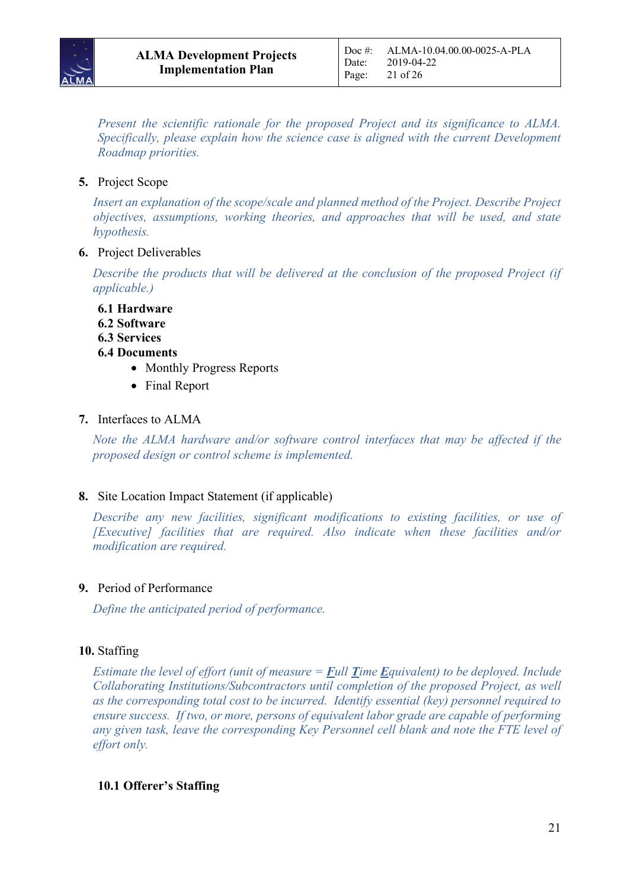

*Present the scientific rationale for the proposed Project and its significance to ALMA. Specifically, please explain how the science case is aligned with the current Development Roadmap priorities.*

# **5.** Project Scope

*Insert an explanation of the scope/scale and planned method of the Project. Describe Project objectives, assumptions, working theories, and approaches that will be used, and state hypothesis.*

#### **6.** Project Deliverables

*Describe the products that will be delivered at the conclusion of the proposed Project (if applicable.)*

**6.1 Hardware 6.2 Software**

- **6.3 Services**
- **6.4 Documents**
	- Monthly Progress Reports
	- Final Report

#### **7.** Interfaces to ALMA

*Note the ALMA hardware and/or software control interfaces that may be affected if the proposed design or control scheme is implemented.*

#### **8.** Site Location Impact Statement (if applicable)

*Describe any new facilities, significant modifications to existing facilities, or use of [Executive] facilities that are required. Also indicate when these facilities and/or modification are required.*

#### **9.** Period of Performance

*Define the anticipated period of performance.*

#### **10.** Staffing

*Estimate the level of effort (unit of measure =*  $\frac{Full}{Time}$  $\frac{Equivalent}{equivalent}$ *) to be deployed. Include Collaborating Institutions/Subcontractors until completion of the proposed Project, as well as the corresponding total cost to be incurred. Identify essential (key) personnel required to ensure success. If two, or more, persons of equivalent labor grade are capable of performing any given task, leave the corresponding Key Personnel cell blank and note the FTE level of effort only.* 

#### **10.1 Offerer's Staffing**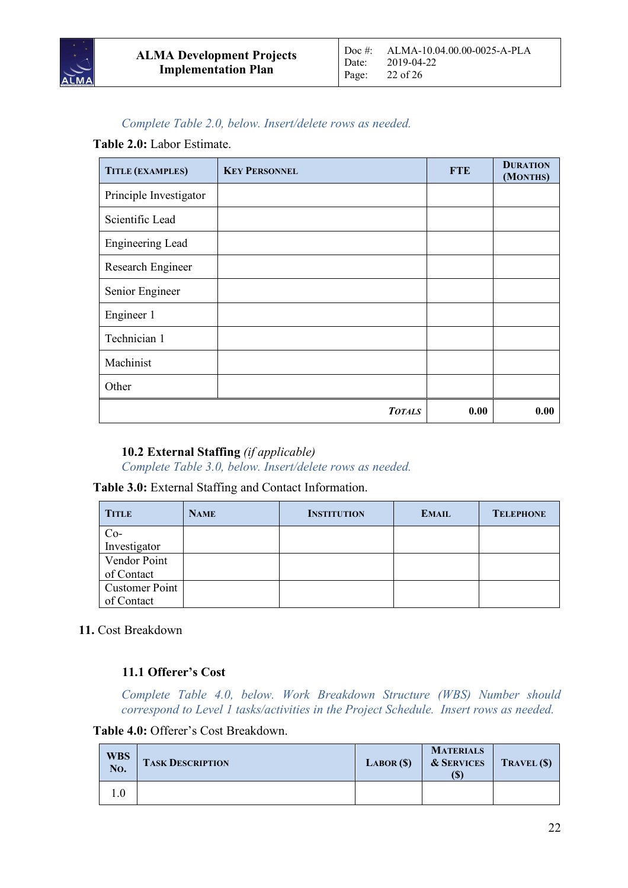

# *Complete Table 2.0, below. Insert/delete rows as needed.*

#### **Table 2.0:** Labor Estimate.

| TITLE (EXAMPLES)        | <b>KEY PERSONNEL</b> | <b>FTE</b> | <b>DURATION</b><br>(MONTHS) |
|-------------------------|----------------------|------------|-----------------------------|
| Principle Investigator  |                      |            |                             |
| Scientific Lead         |                      |            |                             |
| <b>Engineering Lead</b> |                      |            |                             |
| Research Engineer       |                      |            |                             |
| Senior Engineer         |                      |            |                             |
| Engineer 1              |                      |            |                             |
| Technician 1            |                      |            |                             |
| Machinist               |                      |            |                             |
| Other                   |                      |            |                             |
|                         | <b>TOTALS</b>        | 0.00       | 0.00                        |

#### **10.2 External Staffing** *(if applicable)*

*Complete Table 3.0, below. Insert/delete rows as needed.*

#### **Table 3.0:** External Staffing and Contact Information.

| <b>TITLE</b>          | <b>NAME</b> | <b>INSTITUTION</b> | <b>EMAIL</b> | <b>TELEPHONE</b> |
|-----------------------|-------------|--------------------|--------------|------------------|
| Co-<br>Investigator   |             |                    |              |                  |
|                       |             |                    |              |                  |
| Vendor Point          |             |                    |              |                  |
| of Contact            |             |                    |              |                  |
| <b>Customer Point</b> |             |                    |              |                  |
| of Contact            |             |                    |              |                  |

**11.** Cost Breakdown

# **11.1 Offerer's Cost**

*Complete Table 4.0, below. Work Breakdown Structure (WBS) Number should correspond to Level 1 tasks/activities in the Project Schedule. Insert rows as needed.*

**Table 4.0:** Offerer's Cost Breakdown.

| <b>WBS</b><br>No. | <b>TASK DESCRIPTION</b> | LABOR(S) | <b>MATERIALS</b><br><b>&amp; SERVICES</b><br>(S) | TRAVEL (\$) |
|-------------------|-------------------------|----------|--------------------------------------------------|-------------|
|                   |                         |          |                                                  |             |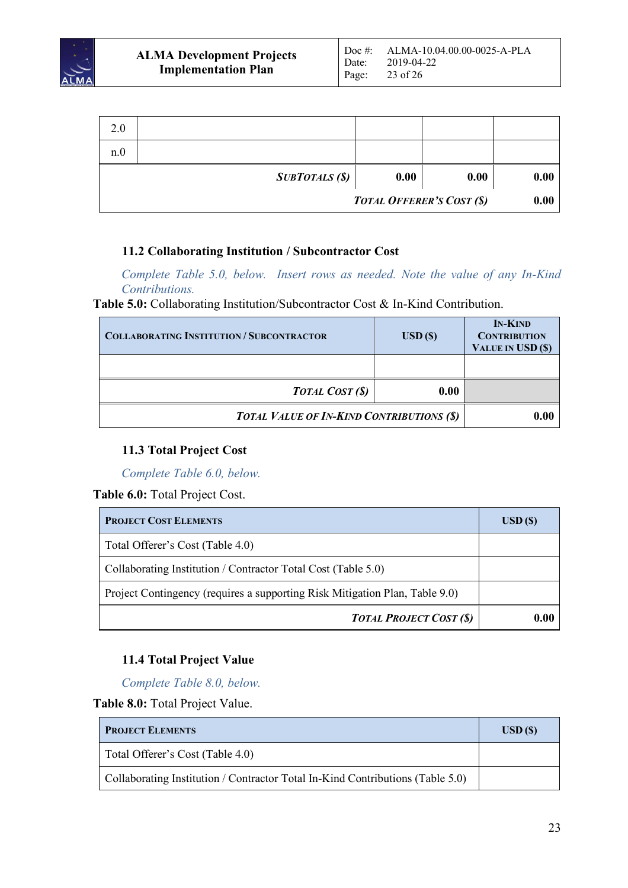

| 2.0 |                       |      |                                  |      |
|-----|-----------------------|------|----------------------------------|------|
| n.0 |                       |      |                                  |      |
|     | <b>SUBTOTALS (\$)</b> | 0.00 | 0.00                             | 0.00 |
|     |                       |      | <b>TOTAL OFFERER'S COST (\$)</b> | 0.00 |

#### **11.2 Collaborating Institution / Subcontractor Cost**

*Complete Table 5.0, below. Insert rows as needed. Note the value of any In-Kind Contributions.*

**Table 5.0:** Collaborating Institution/Subcontractor Cost & In-Kind Contribution.

| <b>COLLABORATING INSTITUTION / SUBCONTRACTOR</b> | $\text{USD}(\$)$ | <b>IN-KIND</b><br><b>CONTRIBUTION</b><br>VALUE IN USD (\$) |
|--------------------------------------------------|------------------|------------------------------------------------------------|
|                                                  |                  |                                                            |
| <b>TOTAL COST (\$)</b>                           | 0.00             |                                                            |
| <b>TOTAL VALUE OF IN-KIND CONTRIBUTIONS (\$)</b> | 0.00             |                                                            |

#### **11.3 Total Project Cost**

*Complete Table 6.0, below.* 

**Table 6.0:** Total Project Cost.

| <b>PROJECT COST ELEMENTS</b>                                                | $\boldsymbol{\mathrm{USD}}$ (\$) |
|-----------------------------------------------------------------------------|----------------------------------|
| Total Offerer's Cost (Table 4.0)                                            |                                  |
| Collaborating Institution / Contractor Total Cost (Table 5.0)               |                                  |
| Project Contingency (requires a supporting Risk Mitigation Plan, Table 9.0) |                                  |
| <b>TOTAL PROJECT COST (\$)</b>                                              | 0.00                             |

# **11.4 Total Project Value**

*Complete Table 8.0, below.* 

**Table 8.0:** Total Project Value.

| <b>PROJECT ELEMENTS</b>                                                        | $\overline{USD}$ (\$) |
|--------------------------------------------------------------------------------|-----------------------|
| Total Offerer's Cost (Table 4.0)                                               |                       |
| Collaborating Institution / Contractor Total In-Kind Contributions (Table 5.0) |                       |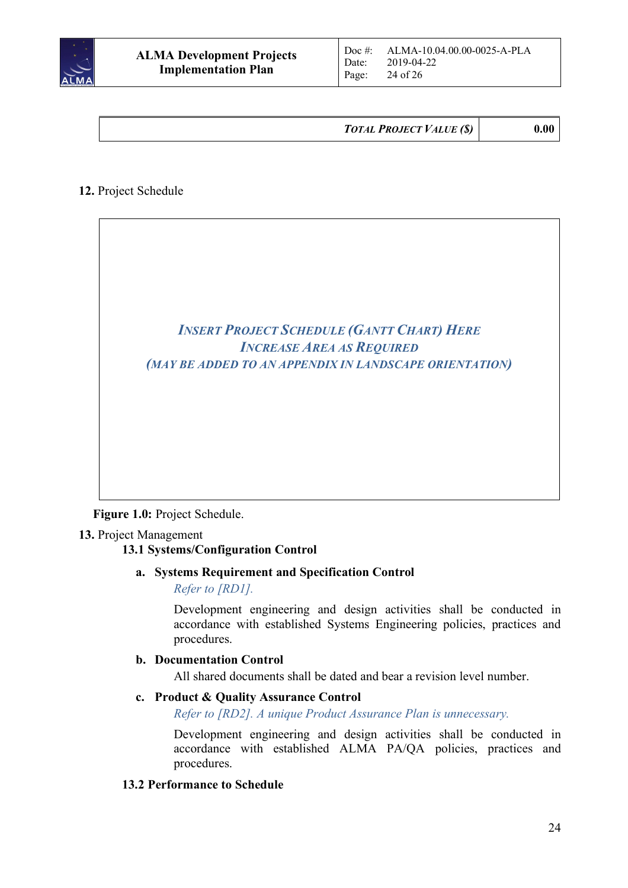

*TOTAL PROJECT VALUE (\$)* **0.00**

# **12.** Project Schedule



**Figure 1.0:** Project Schedule.

#### **13.** Project Management

#### **13.1 Systems/Configuration Control**

#### **a. Systems Requirement and Specification Control**

*Refer to [RD1].*

Development engineering and design activities shall be conducted in accordance with established Systems Engineering policies, practices and procedures.

#### **b. Documentation Control**

All shared documents shall be dated and bear a revision level number.

#### **c. Product & Quality Assurance Control**

*Refer to [RD2]. A unique Product Assurance Plan is unnecessary.*

Development engineering and design activities shall be conducted in accordance with established ALMA PA/QA policies, practices and procedures.

#### **13.2 Performance to Schedule**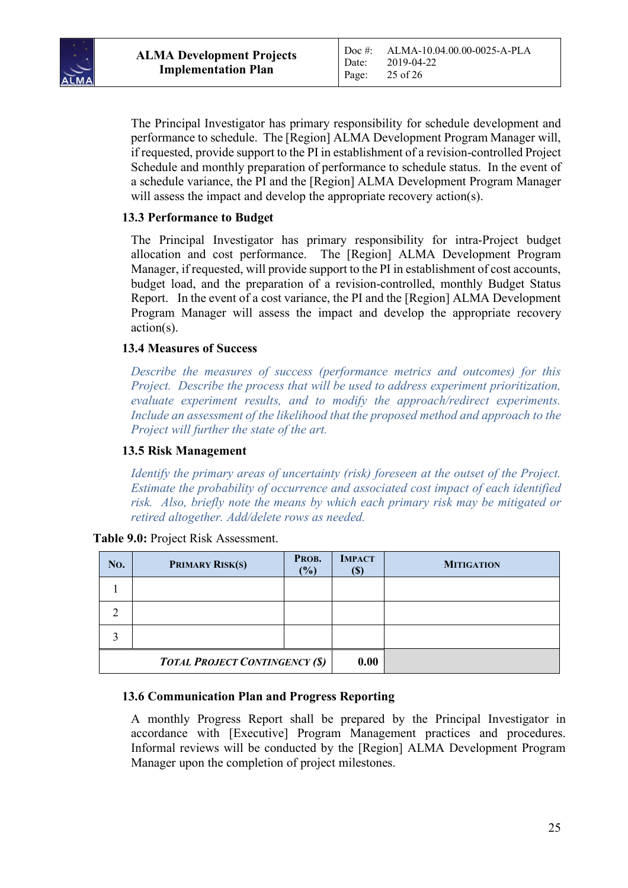

The Principal Investigator has primary responsibility for schedule development and performance to schedule. The [Region] ALMA Development Program Manager will, if requested, provide support to the PI in establishment of a revision-controlled Project Schedule and monthly preparation of performance to schedule status. In the event of a schedule variance, the PI and the [Region] ALMA Development Program Manager will assess the impact and develop the appropriate recovery action(s).

#### **13.3 Performance to Budget**

The Principal Investigator has primary responsibility for intra-Project budget allocation and cost performance. The [Region] ALMA Development Program Manager, if requested, will provide support to the PI in establishment of cost accounts, budget load, and the preparation of a revision-controlled, monthly Budget Status Report. In the event of a cost variance, the PI and the [Region] ALMA Development Program Manager will assess the impact and develop the appropriate recovery action(s).

#### **13.4 Measures of Success**

*Describe the measures of success (performance metrics and outcomes) for this Project. Describe the process that will be used to address experiment prioritization, evaluate experiment results, and to modify the approach/redirect experiments. Include an assessment of the likelihood that the proposed method and approach to the Project will further the state of the art.*

#### **13.5 Risk Management**

*Identify the primary areas of uncertainty (risk) foreseen at the outset of the Project. Estimate the probability of occurrence and associated cost impact of each identified risk. Also, briefly note the means by which each primary risk may be mitigated or retired altogether. Add/delete rows as needed.*

| No. | PRIMARY RISK(S)                       | PROB.<br>$\frac{9}{6}$ | <b>IMPACT</b><br>I DI | <b>MITIGATION</b> |
|-----|---------------------------------------|------------------------|-----------------------|-------------------|
|     |                                       |                        |                       |                   |
| っ   |                                       |                        |                       |                   |
| ◠   |                                       |                        |                       |                   |
|     | <b>TOTAL PROJECT CONTINGENCY (\$)</b> |                        | 0.00                  |                   |

**Table 9.0:** Project Risk Assessment.

#### **13.6 Communication Plan and Progress Reporting**

A monthly Progress Report shall be prepared by the Principal Investigator in accordance with [Executive] Program Management practices and procedures. Informal reviews will be conducted by the [Region] ALMA Development Program Manager upon the completion of project milestones.